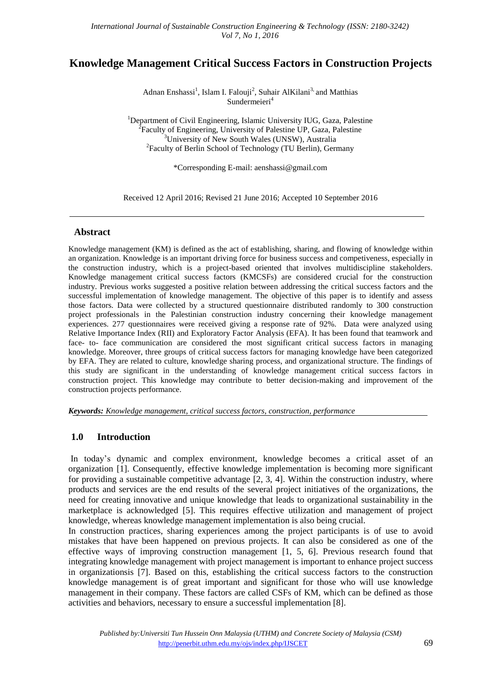# **Knowledge Management Critical Success Factors in Construction Projects**

Adnan Enshassi<sup>1</sup>, Islam I. Falouji<sup>2</sup>, Suhair AlKilani<sup>3,</sup> and Matthias Sundermeieri<sup>4</sup>

<sup>1</sup>Department of Civil Engineering, Islamic University IUG, Gaza, Palestine <sup>2</sup> Faculty of Engineering, University of Palestine UP, Gaza, Palestine <sup>3</sup>University of New South Wales (UNSW), Australia <sup>2</sup> Faculty of Berlin School of Technology (TU Berlin), Germany

\*Corresponding E-mail: [aenshassi@gmail.com](mailto:aenshassi@gmail.com)

Received 12 April 2016; Revised 21 June 2016; Accepted 10 September 2016

### **Abstract**

Knowledge management (KM) is defined as the act of establishing, sharing, and flowing of knowledge within an organization. Knowledge is an important driving force for business success and competiveness, especially in the construction industry, which is a project-based oriented that involves multidiscipline stakeholders. Knowledge management critical success factors (KMCSFs) are considered crucial for the construction industry. Previous works suggested a positive relation between addressing the critical success factors and the successful implementation of knowledge management. The objective of this paper is to identify and assess those factors. Data were collected by a structured questionnaire distributed randomly to 300 construction project professionals in the Palestinian construction industry concerning their knowledge management experiences. 277 questionnaires were received giving a response rate of 92%. Data were analyzed using Relative Importance Index (RII) and Exploratory Factor Analysis (EFA). It has been found that teamwork and face- to- face communication are considered the most significant critical success factors in managing knowledge. Moreover, three groups of critical success factors for managing knowledge have been categorized by EFA. They are related to culture, knowledge sharing process, and organizational structure. The findings of this study are significant in the understanding of knowledge management critical success factors in construction project. This knowledge may contribute to better decision-making and improvement of the construction projects performance.

*Keywords: Knowledge management, critical success factors, construction, performance*

## **1.0 Introduction**

In today's dynamic and complex environment, knowledge becomes a critical asset of an organization [1]. Consequently, effective knowledge implementation is becoming more significant for providing a sustainable competitive advantage [2, 3, 4]. Within the construction industry, where products and services are the end results of the several project initiatives of the organizations, the need for creating innovative and unique knowledge that leads to organizational sustainability in the marketplace is acknowledged [5]. This requires effective utilization and management of project knowledge, whereas knowledge management implementation is also being crucial.

In construction practices, sharing experiences among the project participants is of use to avoid mistakes that have been happened on previous projects. It can also be considered as one of the effective ways of improving construction management [1, 5, 6]. Previous research found that integrating knowledge management with project management is important to enhance project success in organizationsis [7]. Based on this, establishing the critical success factors to the construction knowledge management is of great important and significant for those who will use knowledge management in their company. These factors are called CSFs of KM, which can be defined as those activities and behaviors, necessary to ensure a successful implementation [8].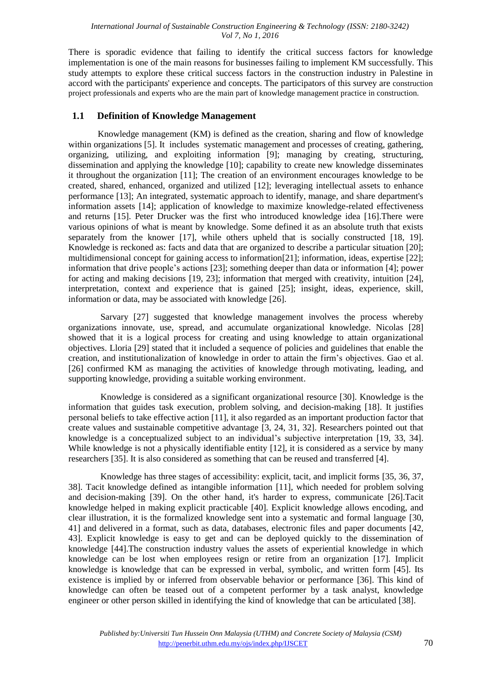There is sporadic evidence that failing to identify the critical success factors for knowledge implementation is one of the main reasons for businesses failing to implement KM successfully. This study attempts to explore these critical success factors in the construction industry in Palestine in accord with the participants' experience and concepts. The participators of this survey are construction project professionals and experts who are the main part of knowledge management practice in construction.

## **1.1 Definition of Knowledge Management**

Knowledge management (KM) is defined as the creation, sharing and flow of knowledge within organizations [5]. It includes systematic management and processes of creating, gathering, organizing, utilizing, and exploiting information [9]; managing by creating, structuring, dissemination and applying the knowledge [10]; capability to create new knowledge disseminates it throughout the organization [11]; The creation of an environment encourages knowledge to be created, shared, enhanced, organized and utilized [12]; leveraging intellectual assets to enhance performance [13]; An integrated, systematic approach to identify, manage, and share department's information assets [14]; application of knowledge to maximize knowledge-related effectiveness and returns [15]. Peter Drucker was the first who introduced knowledge idea [16].There were various opinions of what is meant by knowledge. Some defined it as an absolute truth that exists separately from the knower [17], while others upheld that is socially constructed [18, 19]. Knowledge is reckoned as: facts and data that are organized to describe a particular situation [20]; multidimensional concept for gaining access to information[21]; information, ideas, expertise [22]; information that drive people's actions [23]; something deeper than data or information [4]; power for acting and making decisions [19, 23]; information that merged with creativity, intuition [24], interpretation, context and experience that is gained [25]; insight, ideas, experience, skill, information or data, may be associated with knowledge [26].

Sarvary [27] suggested that knowledge management involves the process whereby organizations innovate, use, spread, and accumulate organizational knowledge. Nicolas [28] showed that it is a logical process for creating and using knowledge to attain organizational objectives. Lloria [29] stated that it included a sequence of policies and guidelines that enable the creation, and institutionalization of knowledge in order to attain the firm's objectives. Gao et al. [26] confirmed KM as managing the activities of knowledge through motivating, leading, and supporting knowledge, providing a suitable working environment.

Knowledge is considered as a significant organizational resource [30]. Knowledge is the information that guides task execution, problem solving, and decision-making [18]. It justifies personal beliefs to take effective action [11], it also regarded as an important production factor that create values and sustainable competitive advantage [3, 24, 31, 32]. Researchers pointed out that knowledge is a conceptualized subject to an individual's subjective interpretation [19, 33, 34]. While knowledge is not a physically identifiable entity [12], it is considered as a service by many researchers [35]. It is also considered as something that can be reused and transferred [4].

Knowledge has three stages of accessibility: explicit, tacit, and implicit forms [35, 36, 37, 38]. Tacit knowledge defined as intangible information [11], which needed for problem solving and decision-making [39]. On the other hand, it's harder to express, communicate [26].Tacit knowledge helped in making explicit practicable [40]. Explicit knowledge allows encoding, and clear illustration, it is the formalized knowledge sent into a systematic and formal language [30, 41] and delivered in a format, such as data, databases, electronic files and paper documents [42, 43]. Explicit knowledge is easy to get and can be deployed quickly to the dissemination of knowledge [44].The construction industry values the assets of experiential knowledge in which knowledge can be lost when employees resign or retire from an organization [17]. Implicit knowledge is knowledge that can be expressed in verbal, symbolic, and written form [45]. Its existence is implied by or inferred from observable behavior or performance [36]. This kind of knowledge can often be teased out of a competent performer by a task analyst, knowledge engineer or other person skilled in identifying the kind of knowledge that can be articulated [38].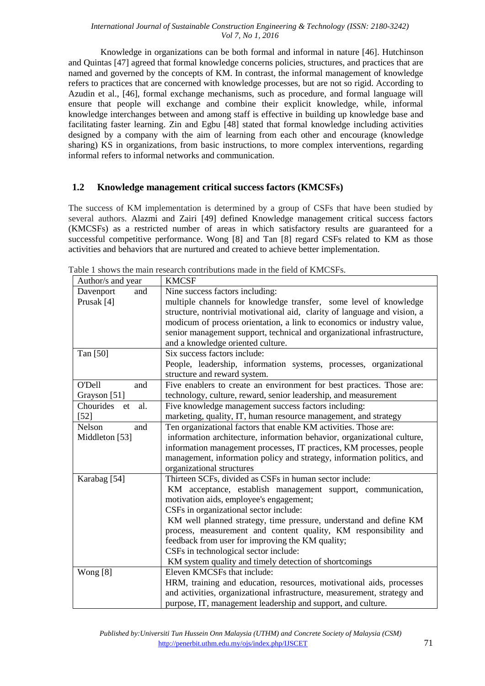Knowledge in organizations can be both formal and informal in nature [46]. Hutchinson and Quintas [47] agreed that formal knowledge concerns policies, structures, and practices that are named and governed by the concepts of KM. In contrast, the informal management of knowledge refers to practices that are concerned with knowledge processes, but are not so rigid. According to Azudin et al., [46], formal exchange mechanisms, such as procedure, and formal language will ensure that people will exchange and combine their explicit knowledge, while, informal knowledge interchanges between and among staff is effective in building up knowledge base and facilitating faster learning. Zin and Egbu [48] stated that formal knowledge including activities designed by a company with the aim of learning from each other and encourage (knowledge sharing) KS in organizations, from basic instructions, to more complex interventions, regarding informal refers to informal networks and communication.

## **1.2 Knowledge management critical success factors (KMCSFs)**

The success of KM implementation is determined by a group of CSFs that have been studied by several authors. Alazmi and Zairi [49] defined Knowledge management critical success factors (KMCSFs) as a restricted number of areas in which satisfactory results are guaranteed for a successful competitive performance. Wong [8] and Tan [8] regard CSFs related to KM as those activities and behaviors that are nurtured and created to achieve better implementation.

| Author/s and year       | <b>KMCSF</b>                                                              |  |  |  |  |  |
|-------------------------|---------------------------------------------------------------------------|--|--|--|--|--|
| Davenport<br>and        | Nine success factors including:                                           |  |  |  |  |  |
| Prusak [4]              | multiple channels for knowledge transfer, some level of knowledge         |  |  |  |  |  |
|                         | structure, nontrivial motivational aid, clarity of language and vision, a |  |  |  |  |  |
|                         | modicum of process orientation, a link to economics or industry value,    |  |  |  |  |  |
|                         | senior management support, technical and organizational infrastructure,   |  |  |  |  |  |
|                         | and a knowledge oriented culture.                                         |  |  |  |  |  |
| Tan [50]                | Six success factors include:                                              |  |  |  |  |  |
|                         | People, leadership, information systems, processes, organizational        |  |  |  |  |  |
|                         | structure and reward system.                                              |  |  |  |  |  |
| O'Dell<br>and           | Five enablers to create an environment for best practices. Those are:     |  |  |  |  |  |
| Grayson [51]            | technology, culture, reward, senior leadership, and measurement           |  |  |  |  |  |
| Chourides<br>al.<br>et  | Five knowledge management success factors including:                      |  |  |  |  |  |
| $[52]$                  | marketing, quality, IT, human resource management, and strategy           |  |  |  |  |  |
| Nelson<br>and           | Ten organizational factors that enable KM activities. Those are:          |  |  |  |  |  |
| Middleton [53]          | information architecture, information behavior, organizational culture,   |  |  |  |  |  |
|                         | information management processes, IT practices, KM processes, people      |  |  |  |  |  |
|                         | management, information policy and strategy, information politics, and    |  |  |  |  |  |
|                         | organizational structures                                                 |  |  |  |  |  |
| Karabag <sup>[54]</sup> | Thirteen SCFs, divided as CSFs in human sector include:                   |  |  |  |  |  |
|                         | KM acceptance, establish management support, communication,               |  |  |  |  |  |
|                         | motivation aids, employee's engagement;                                   |  |  |  |  |  |
|                         | CSFs in organizational sector include:                                    |  |  |  |  |  |
|                         | KM well planned strategy, time pressure, understand and define KM         |  |  |  |  |  |
|                         | process, measurement and content quality, KM responsibility and           |  |  |  |  |  |
|                         | feedback from user for improving the KM quality;                          |  |  |  |  |  |
|                         | CSFs in technological sector include:                                     |  |  |  |  |  |
|                         | KM system quality and timely detection of shortcomings                    |  |  |  |  |  |
| Wong $[8]$              | Eleven KMCSFs that include:                                               |  |  |  |  |  |
|                         | HRM, training and education, resources, motivational aids, processes      |  |  |  |  |  |
|                         | and activities, organizational infrastructure, measurement, strategy and  |  |  |  |  |  |
|                         | purpose, IT, management leadership and support, and culture.              |  |  |  |  |  |

Table 1 shows the main research contributions made in the field of KMCSFs.

*Published by:Universiti Tun Hussein Onn Malaysia (UTHM) and Concrete Society of Malaysia (CSM)* http://penerbit.uthm.edu.my/ojs/index.php/IJSCET 71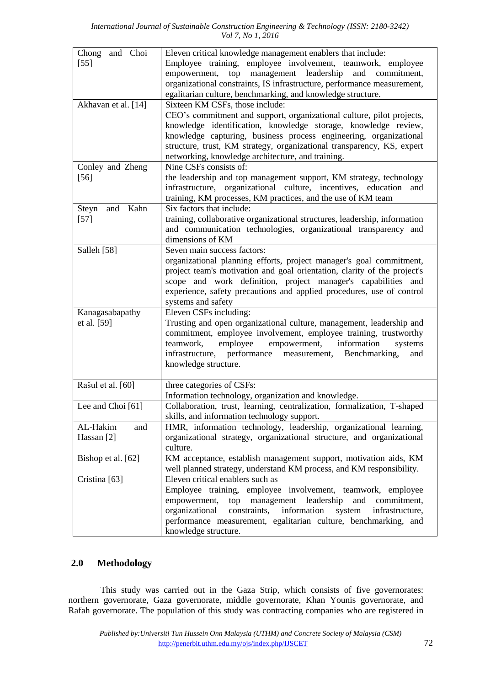| Chong and Choi<br>$[55]$       | Eleven critical knowledge management enablers that include:<br>Employee training, employee involvement, teamwork, employee<br>empowerment, top management leadership<br>and commitment,<br>organizational constraints, IS infrastructure, performance measurement,<br>egalitarian culture, benchmarking, and knowledge structure.                                              |
|--------------------------------|--------------------------------------------------------------------------------------------------------------------------------------------------------------------------------------------------------------------------------------------------------------------------------------------------------------------------------------------------------------------------------|
| Akhavan et al. [14]            | Sixteen KM CSFs, those include:<br>CEO's commitment and support, organizational culture, pilot projects,<br>knowledge identification, knowledge storage, knowledge review,<br>knowledge capturing, business process engineering, organizational<br>structure, trust, KM strategy, organizational transparency, KS, expert<br>networking, knowledge architecture, and training. |
| Conley and Zheng<br>$[56]$     | Nine CSFs consists of:<br>the leadership and top management support, KM strategy, technology<br>infrastructure, organizational culture, incentives, education<br>and<br>training, KM processes, KM practices, and the use of KM team                                                                                                                                           |
| Steyn<br>and Kahn<br>$[57]$    | Six factors that include:<br>training, collaborative organizational structures, leadership, information<br>and communication technologies, organizational transparency and<br>dimensions of KM                                                                                                                                                                                 |
| Salleh [58]                    | Seven main success factors:<br>organizational planning efforts, project manager's goal commitment,<br>project team's motivation and goal orientation, clarity of the project's<br>scope and work definition, project manager's capabilities and<br>experience, safety precautions and applied procedures, use of control<br>systems and safety                                 |
| Kanagasabapathy<br>et al. [59] | Eleven CSFs including:<br>Trusting and open organizational culture, management, leadership and<br>commitment, employee involvement, employee training, trustworthy<br>employee<br>empowerment, information<br>teamwork,<br>systems<br>infrastructure, performance measurement, Benchmarking,<br>and<br>knowledge structure.                                                    |
| Rašul et al. [60]              | three categories of CSFs:<br>Information technology, organization and knowledge.                                                                                                                                                                                                                                                                                               |
| Lee and Choi [61]              | Collaboration, trust, learning, centralization, formalization, T-shaped<br>skills, and information technology support.                                                                                                                                                                                                                                                         |
| AL-Hakim<br>and<br>Hassan [2]  | HMR, information technology, leadership, organizational learning,<br>organizational strategy, organizational structure, and organizational<br>culture.                                                                                                                                                                                                                         |
| Bishop et al. [62]             | KM acceptance, establish management support, motivation aids, KM<br>well planned strategy, understand KM process, and KM responsibility.                                                                                                                                                                                                                                       |
| Cristina [63]                  | Eleven critical enablers such as<br>Employee training, employee involvement, teamwork, employee<br>management leadership<br>empowerment,<br>and commitment,<br>top<br>organizational<br>constraints,<br>information<br>system<br>infrastructure,<br>performance measurement, egalitarian culture, benchmarking, and<br>knowledge structure.                                    |

## **2.0 Methodology**

This study was carried out in the Gaza Strip, which consists of five governorates: northern governorate, Gaza governorate, middle governorate, Khan Younis governorate, and Rafah governorate. The population of this study was contracting companies who are registered in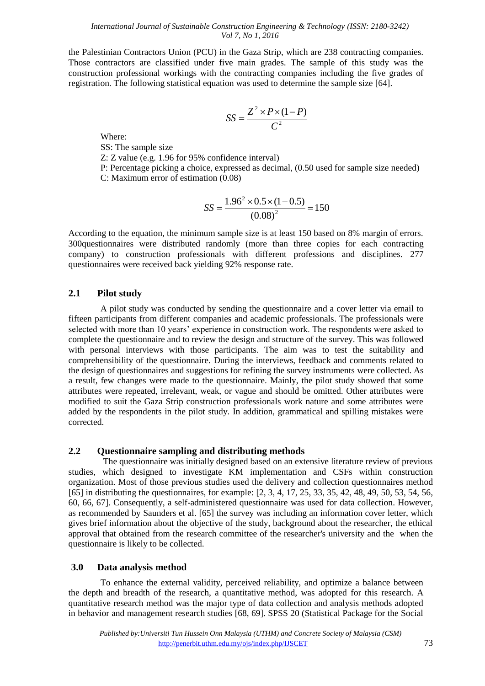the Palestinian Contractors Union (PCU) in the Gaza Strip, which are 238 contracting companies. Those contractors are classified under five main grades. The sample of this study was the construction professional workings with the contracting companies including the five grades of registration. The following statistical equation was used to determine the sample size [64].

$$
SS = \frac{Z^2 \times P \times (1 - P)}{C^2}
$$

Where:

SS: The sample size

Z: Z value (e.g. 1.96 for 95% confidence interval)

P: Percentage picking a choice, expressed as decimal, (0.50 used for sample size needed) C: Maximum error of estimation (0.08)

$$
SS = \frac{1.96^2 \times 0.5 \times (1 - 0.5)}{(0.08)^2} = 150
$$

According to the equation, the minimum sample size is at least 150 based on 8% margin of errors. 300questionnaires were distributed randomly (more than three copies for each contracting company) to construction professionals with different professions and disciplines. 277 questionnaires were received back yielding 92% response rate.

## **2.1 Pilot study**

A pilot study was conducted by sending the questionnaire and a cover letter via email to fifteen participants from different companies and academic professionals. The professionals were selected with more than 10 years' experience in construction work. The respondents were asked to complete the questionnaire and to review the design and structure of the survey. This was followed with personal interviews with those participants. The aim was to test the suitability and comprehensibility of the questionnaire. During the interviews, feedback and comments related to the design of questionnaires and suggestions for refining the survey instruments were collected. As a result, few changes were made to the questionnaire. Mainly, the pilot study showed that some attributes were repeated, irrelevant, weak, or vague and should be omitted. Other attributes were modified to suit the Gaza Strip construction professionals work nature and some attributes were added by the respondents in the pilot study. In addition, grammatical and spilling mistakes were corrected.

### **2.2 Questionnaire sampling and distributing methods**

The questionnaire was initially designed based on an extensive literature review of previous studies, which designed to investigate KM implementation and CSFs within construction organization. Most of those previous studies used the delivery and collection questionnaires method [65] in distributing the questionnaires, for example: [2, 3, 4, 17, 25, 33, 35, 42, 48, 49, 50, 53, 54, 56, 60, 66, 67]. Consequently, a self-administered questionnaire was used for data collection. However, as recommended by Saunders et al. [65] the survey was including an information cover letter, which gives brief information about the objective of the study, background about the researcher, the ethical approval that obtained from the research committee of the researcher's university and the when the questionnaire is likely to be collected.

### **3.0 Data analysis method**

To enhance the external validity, perceived reliability, and optimize a balance between the depth and breadth of the research, a quantitative method, was adopted for this research. A quantitative research method was the major type of data collection and analysis methods adopted in behavior and management research studies [68, 69]. SPSS 20 (Statistical Package for the Social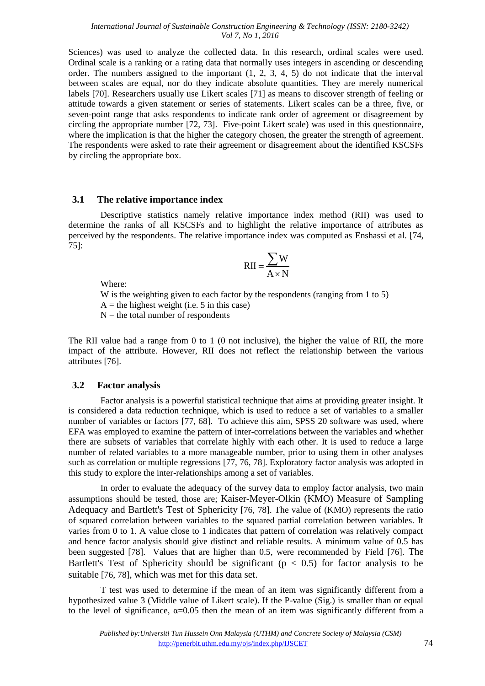Sciences) was used to analyze the collected data. In this research, ordinal scales were used. Ordinal scale is a ranking or a rating data that normally uses integers in ascending or descending order. The numbers assigned to the important (1, 2, 3, 4, 5) do not indicate that the interval between scales are equal, nor do they indicate absolute quantities. They are merely numerical labels [70]. Researchers usually use Likert scales [71] as means to discover strength of feeling or attitude towards a given statement or series of statements. Likert scales can be a three, five, or seven-point range that asks respondents to indicate rank order of agreement or disagreement by circling the appropriate number [72, 73]. Five-point Likert scale) was used in this questionnaire, where the implication is that the higher the category chosen, the greater the strength of agreement. The respondents were asked to rate their agreement or disagreement about the identified KSCSFs by circling the appropriate box.

#### **3.1 The relative importance index**

Descriptive statistics namely relative importance index method (RII) was used to determine the ranks of all KSCSFs and to highlight the relative importance of attributes as perceived by the respondents. The relative importance index was computed as Enshassi et al. [74, 75]:

$$
RII = \frac{\sum W}{A \times N}
$$

Where:

W is the weighting given to each factor by the respondents (ranging from 1 to 5)  $A =$  the highest weight (i.e. 5 in this case)  $N =$  the total number of respondents

The RII value had a range from 0 to 1 (0 not inclusive), the higher the value of RII, the more impact of the attribute. However, RII does not reflect the relationship between the various attributes [76].

### **3.2 Factor analysis**

Factor analysis is a powerful statistical technique that aims at providing greater insight. It is considered a data reduction technique, which is used to reduce a set of variables to a smaller number of variables or factors [77, 68]. To achieve this aim, SPSS 20 software was used, where EFA was employed to examine the pattern of inter-correlations between the variables and whether there are subsets of variables that correlate highly with each other. It is used to reduce a large number of related variables to a more manageable number, prior to using them in other analyses such as correlation or multiple regressions [77, 76, 78]. Exploratory factor analysis was adopted in this study to explore the inter-relationships among a set of variables.

In order to evaluate the adequacy of the survey data to employ factor analysis, two main assumptions should be tested, those are; Kaiser-Meyer-Olkin (KMO) Measure of Sampling Adequacy and Bartlett's Test of Sphericity [76, 78]. The value of (KMO) represents the ratio of squared correlation between variables to the squared partial correlation between variables. It varies from 0 to 1. A value close to 1 indicates that pattern of correlation was relatively compact and hence factor analysis should give distinct and reliable results. A minimum value of 0.5 has been suggested [78]. Values that are higher than 0.5, were recommended by Field [76]. The Bartlett's Test of Sphericity should be significant ( $p < 0.5$ ) for factor analysis to be suitable [76, 78], which was met for this data set.

T test was used to determine if the mean of an item was significantly different from a hypothesized value 3 (Middle value of Likert scale). If the P-value (Sig.) is smaller than or equal to the level of significance,  $\alpha$ =0.05 then the mean of an item was significantly different from a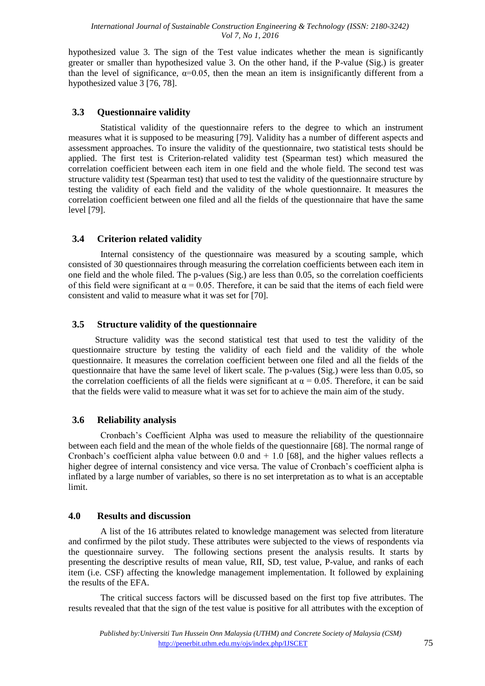hypothesized value 3. The sign of the Test value indicates whether the mean is significantly greater or smaller than hypothesized value 3. On the other hand, if the P-value (Sig.) is greater than the level of significance,  $\alpha$ =0.05, then the mean an item is insignificantly different from a hypothesized value 3 [76, 78].

## **3.3 Questionnaire validity**

Statistical validity of the questionnaire refers to the degree to which an instrument measures what it is supposed to be measuring [79]. Validity has a number of different aspects and assessment approaches. To insure the validity of the questionnaire, two statistical tests should be applied. The first test is Criterion-related validity test (Spearman test) which measured the correlation coefficient between each item in one field and the whole field. The second test was structure validity test (Spearman test) that used to test the validity of the questionnaire structure by testing the validity of each field and the validity of the whole questionnaire. It measures the correlation coefficient between one filed and all the fields of the questionnaire that have the same level [79].

## **3.4 Criterion related validity**

Internal consistency of the questionnaire was measured by a scouting sample, which consisted of 30 questionnaires through measuring the correlation coefficients between each item in one field and the whole filed. The p-values (Sig.) are less than 0.05, so the correlation coefficients of this field were significant at  $\alpha = 0.05$ . Therefore, it can be said that the items of each field were consistent and valid to measure what it was set for [70].

## **3.5 Structure validity of the questionnaire**

Structure validity was the second statistical test that used to test the validity of the questionnaire structure by testing the validity of each field and the validity of the whole questionnaire. It measures the correlation coefficient between one filed and all the fields of the questionnaire that have the same level of likert scale. The p-values (Sig.) were less than 0.05, so the correlation coefficients of all the fields were significant at  $\alpha = 0.05$ . Therefore, it can be said that the fields were valid to measure what it was set for to achieve the main aim of the study.

## **3.6 Reliability analysis**

Cronbach's Coefficient Alpha was used to measure the reliability of the questionnaire between each field and the mean of the whole fields of the questionnaire [68]. The normal range of Cronbach's coefficient alpha value between  $0.0$  and  $+ 1.0$  [68], and the higher values reflects a higher degree of internal consistency and vice versa. The value of Cronbach's coefficient alpha is inflated by a large number of variables, so there is no set interpretation as to what is an acceptable limit.

### **4.0 Results and discussion**

A list of the 16 attributes related to knowledge management was selected from literature and confirmed by the pilot study. These attributes were subjected to the views of respondents via the questionnaire survey. The following sections present the analysis results. It starts by presenting the descriptive results of mean value, RII, SD, test value, P-value, and ranks of each item (i.e. CSF) affecting the knowledge management implementation. It followed by explaining the results of the EFA.

The critical success factors will be discussed based on the first top five attributes. The results revealed that that the sign of the test value is positive for all attributes with the exception of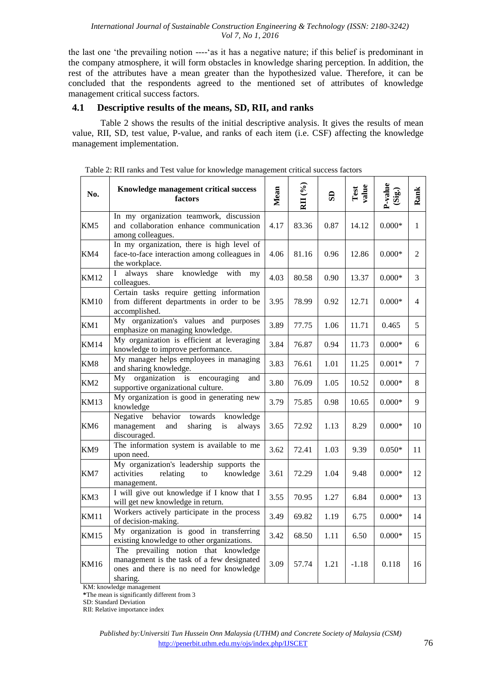the last one 'the prevailing notion ----'as it has a negative nature; if this belief is predominant in the company atmosphere, it will form obstacles in knowledge sharing perception. In addition, the rest of the attributes have a mean greater than the hypothesized value. Therefore, it can be concluded that the respondents agreed to the mentioned set of attributes of knowledge management critical success factors.

### **4.1 Descriptive results of the means, SD, RII, and ranks**

Table 2 shows the results of the initial descriptive analysis. It gives the results of mean value, RII, SD, test value, P-value, and ranks of each item (i.e. CSF) affecting the knowledge management implementation.

| No.             | Knowledge management critical success<br>factors                                                                                          | Mean | RII (%) | SD   | Test<br>value | $P-value (Sig.)$ | Rank           |
|-----------------|-------------------------------------------------------------------------------------------------------------------------------------------|------|---------|------|---------------|------------------|----------------|
| KM5             | In my organization teamwork, discussion<br>and collaboration enhance communication<br>among colleagues.                                   | 4.17 | 83.36   | 0.87 | 14.12         | $0.000*$         | $\mathbf{1}$   |
| KM4             | In my organization, there is high level of<br>face-to-face interaction among colleagues in<br>the workplace.                              | 4.06 | 81.16   | 0.96 | 12.86         | $0.000*$         | $\overline{2}$ |
| <b>KM12</b>     | share<br>knowledge<br>always<br>with<br>L<br>my<br>colleagues.                                                                            | 4.03 | 80.58   | 0.90 | 13.37         | $0.000\text{*}$  | 3              |
| <b>KM10</b>     | Certain tasks require getting information<br>from different departments in order to be<br>accomplished.                                   | 3.95 | 78.99   | 0.92 | 12.71         | $0.000*$         | $\overline{4}$ |
| KM1             | My organization's values and purposes<br>emphasize on managing knowledge.                                                                 | 3.89 | 77.75   | 1.06 | 11.71         | 0.465            | 5              |
| <b>KM14</b>     | My organization is efficient at leveraging<br>knowledge to improve performance.                                                           | 3.84 | 76.87   | 0.94 | 11.73         | $0.000*$         | 6              |
| KM8             | My manager helps employees in managing<br>and sharing knowledge.                                                                          | 3.83 | 76.61   | 1.01 | 11.25         | $0.001*$         | 7              |
| KM <sub>2</sub> | organization<br>My<br>encouraging<br>is<br>and<br>supportive organizational culture.                                                      | 3.80 | 76.09   | 1.05 | 10.52         | $0.000*$         | 8              |
| <b>KM13</b>     | My organization is good in generating new<br>knowledge                                                                                    | 3.79 | 75.85   | 0.98 | 10.65         | $0.000*$         | 9              |
| KM <sub>6</sub> | Negative behavior<br>towards<br>knowledge<br>management<br>and<br>sharing<br>is<br>always<br>discouraged.                                 | 3.65 | 72.92   | 1.13 | 8.29          | $0.000*$         | 10             |
| KM9             | The information system is available to me<br>upon need.                                                                                   | 3.62 | 72.41   | 1.03 | 9.39          | $0.050*$         | 11             |
| KM7             | My organization's leadership supports the<br>activities<br>knowledge<br>relating<br>$\mathop{\mathrm{to}}$<br>management.                 | 3.61 | 72.29   | 1.04 | 9.48          | $0.000*$         | 12             |
| KM3             | I will give out knowledge if I know that I<br>will get new knowledge in return.                                                           | 3.55 | 70.95   | 1.27 | 6.84          | $0.000*$         | 13             |
| <b>KM11</b>     | Workers actively participate in the process<br>of decision-making.                                                                        | 3.49 | 69.82   | 1.19 | 6.75          | $0.000*$         | 14             |
| <b>KM15</b>     | My organization is good in transferring<br>existing knowledge to other organizations.                                                     | 3.42 | 68.50   | 1.11 | 6.50          | $0.000*$         | 15             |
| <b>KM16</b>     | The prevailing notion that knowledge<br>management is the task of a few designated<br>ones and there is no need for knowledge<br>sharing. | 3.09 | 57.74   | 1.21 | $-1.18$       | 0.118            | 16             |

| Table 2: RII ranks and Test value for knowledge management critical success factors |  |  |  |  |  |  |  |
|-------------------------------------------------------------------------------------|--|--|--|--|--|--|--|
|                                                                                     |  |  |  |  |  |  |  |

KM: knowledge management

**\***The mean is significantly different from 3

SD: Standard Deviation

RII: Relative importance index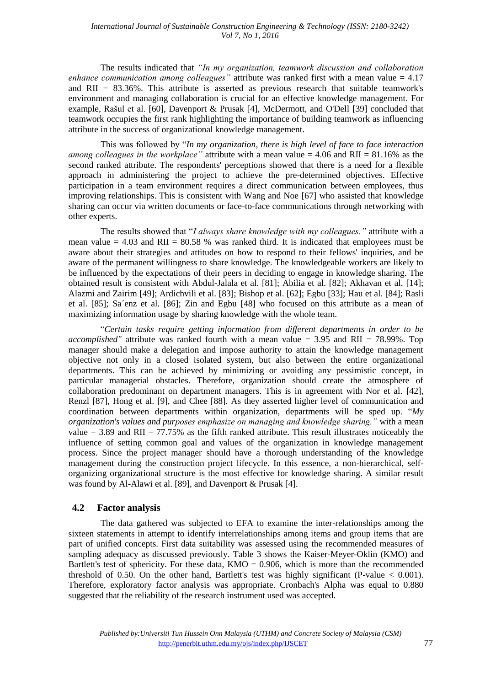The results indicated that *"In my organization, teamwork discussion and collaboration enhance communication among colleagues"* attribute was ranked first with a mean value = 4.17 and  $\text{RII} = 83.36\%$ . This attribute is asserted as previous research that suitable teamwork's environment and managing collaboration is crucial for an effective knowledge management. For example, Rašul et al. [60], Davenport & Prusak [4], McDermott, and O'Dell [39] concluded that teamwork occupies the first rank highlighting the importance of building teamwork as influencing attribute in the success of organizational knowledge management.

This was followed by "*In my organization, there is high level of face to face interaction among colleagues in the workplace"* attribute with a mean value = 4.06 and RII = 81.16% as the second ranked attribute. The respondents' perceptions showed that there is a need for a flexible approach in administering the project to achieve the pre-determined objectives. Effective participation in a team environment requires a direct communication between employees, thus improving relationships. This is consistent with Wang and Noe [67] who assisted that knowledge sharing can occur via written documents or face-to-face communications through networking with other experts.

The results showed that "*I always share knowledge with my colleagues."* attribute with a mean value  $= 4.03$  and RII  $= 80.58$  % was ranked third. It is indicated that employees must be aware about their strategies and attitudes on how to respond to their fellows' inquiries, and be aware of the permanent willingness to share knowledge. The knowledgeable workers are likely to be influenced by the expectations of their peers in deciding to engage in knowledge sharing. The obtained result is consistent with Abdul-Jalala et al. [81]; Abilia et al. [82]; Akhavan et al. [14]; Alazmi and Zairim [49]; Ardichvili et al. [83]; Bishop et al. [62]; Egbu [33]; Hau et al. [84]; Rasli et al. [85]; Sa´enz et al. [86]; Zin and Egbu [48] who focused on this attribute as a mean of maximizing information usage by sharing knowledge with the whole team.

"*Certain tasks require getting information from different departments in order to be accomplished"* attribute was ranked fourth with a mean value = 3.95 and RII = 78.99%. Top manager should make a delegation and impose authority to attain the knowledge management objective not only in a closed isolated system, but also between the entire organizational departments. This can be achieved by minimizing or avoiding any pessimistic concept, in particular managerial obstacles. Therefore, organization should create the atmosphere of collaboration predominant on department managers. This is in agreement with Nor et al. [42], Renzl [87], Hong et al. [9], and Chee [88]. As they asserted higher level of communication and coordination between departments within organization, departments will be sped up. "*My organization's values and purposes emphasize on managing and knowledge sharing."* with a mean value = 3.89 and RII = 77.75% as the fifth ranked attribute. This result illustrates noticeably the influence of setting common goal and values of the organization in knowledge management process. Since the project manager should have a thorough understanding of the knowledge management during the construction project lifecycle. In this essence, a non-hierarchical, selforganizing organizational structure is the most effective for knowledge sharing. A similar result was found by Al-Alawi et al. [89], and Davenport & Prusak [4].

## **4.2 Factor analysis**

The data gathered was subjected to EFA to examine the inter-relationships among the sixteen statements in attempt to identify interrelationships among items and group items that are part of unified concepts. First data suitability was assessed using the recommended measures of sampling adequacy as discussed previously. Table 3 shows the Kaiser-Meyer-Oklin (KMO) and Bartlett's test of sphericity. For these data,  $KMO = 0.906$ , which is more than the recommended threshold of 0.50. On the other hand, Bartlett's test was highly significant (P-value  $< 0.001$ ). Therefore, exploratory factor analysis was appropriate. Cronbach's Alpha was equal to 0.880 suggested that the reliability of the research instrument used was accepted.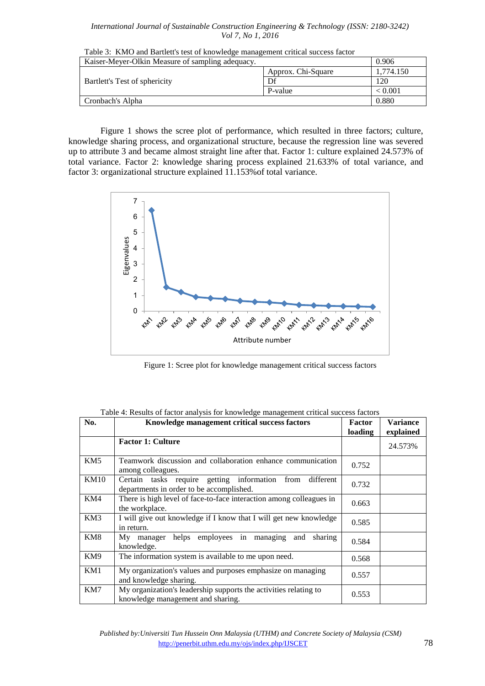| Table 3: KMO and Bartlett's test of knowledge management critical success factor |                    |                |  |  |  |
|----------------------------------------------------------------------------------|--------------------|----------------|--|--|--|
| Kaiser-Meyer-Olkin Measure of sampling adequacy.                                 | 0.906              |                |  |  |  |
|                                                                                  | Approx. Chi-Square | 1,774.150      |  |  |  |
| Bartlett's Test of sphericity                                                    | Df                 | 120            |  |  |  |
|                                                                                  | P-value            | ${}_{< 0.001}$ |  |  |  |
| Cronbach's Alpha                                                                 | 0.880              |                |  |  |  |
|                                                                                  |                    |                |  |  |  |

Figure 1 shows the scree plot of performance, which resulted in three factors; culture, knowledge sharing process, and organizational structure, because the regression line was severed up to attribute 3 and became almost straight line after that. Factor 1: culture explained 24.573% of total variance. Factor 2: knowledge sharing process explained 21.633% of total variance, and factor 3: organizational structure explained 11.153%of total variance.



Figure 1: Scree plot for knowledge management critical success factors

| No.             | Knowledge management critical success factors                                                           | <b>Factor</b><br>loading | <b>Variance</b><br>explained |
|-----------------|---------------------------------------------------------------------------------------------------------|--------------------------|------------------------------|
|                 | <b>Factor 1: Culture</b>                                                                                |                          | 24.573%                      |
| KM <sub>5</sub> | Teamwork discussion and collaboration enhance communication<br>among colleagues.                        | 0.752                    |                              |
| <b>KM10</b>     | Certain tasks require getting information from<br>different<br>departments in order to be accomplished. | 0.732                    |                              |
| KM4             | There is high level of face-to-face interaction among colleagues in<br>the workplace.                   | 0.663                    |                              |
| KM3             | I will give out knowledge if I know that I will get new knowledge<br>in return.                         | 0.585                    |                              |
| KM8             | My manager helps employees in managing<br>and<br>sharing<br>knowledge.                                  | 0.584                    |                              |
| KM9             | The information system is available to me upon need.                                                    | 0.568                    |                              |
| KM1             | My organization's values and purposes emphasize on managing<br>and knowledge sharing.                   | 0.557                    |                              |
| KM7             | My organization's leadership supports the activities relating to<br>knowledge management and sharing.   | 0.553                    |                              |

Table 4: Results of factor analysis for knowledge management critical success factors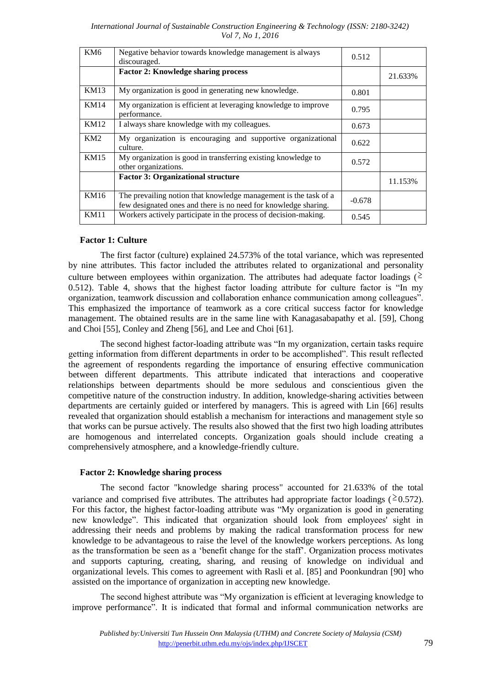| KM <sub>6</sub> | Negative behavior towards knowledge management is always<br>discouraged.                                                            | 0.512    |         |
|-----------------|-------------------------------------------------------------------------------------------------------------------------------------|----------|---------|
|                 | <b>Factor 2: Knowledge sharing process</b>                                                                                          |          | 21.633% |
| <b>KM13</b>     | My organization is good in generating new knowledge.                                                                                | 0.801    |         |
| KM14            | My organization is efficient at leveraging knowledge to improve<br>performance.                                                     | 0.795    |         |
| KM12            | I always share knowledge with my colleagues.                                                                                        | 0.673    |         |
| KM2             | My organization is encouraging and supportive organizational<br>culture.                                                            | 0.622    |         |
| KM15            | My organization is good in transferring existing knowledge to<br>other organizations.                                               | 0.572    |         |
|                 | <b>Factor 3: Organizational structure</b>                                                                                           |          | 11.153% |
| KM16            | The prevailing notion that knowledge management is the task of a<br>few designated ones and there is no need for knowledge sharing. | $-0.678$ |         |
| KM11            | Workers actively participate in the process of decision-making.                                                                     | 0.545    |         |

#### **Factor 1: Culture**

The first factor (culture) explained 24.573% of the total variance, which was represented by nine attributes. This factor included the attributes related to organizational and personality culture between employees within organization. The attributes had adequate factor loadings ( $\geq$ 0.512). Table 4, shows that the highest factor loading attribute for culture factor is "In my organization, teamwork discussion and collaboration enhance communication among colleagues". This emphasized the importance of teamwork as a core critical success factor for knowledge management. The obtained results are in the same line with Kanagasabapathy et al. [59], Chong and Choi [55], Conley and Zheng [56], and Lee and Choi [61].

The second highest factor-loading attribute was "In my organization, certain tasks require getting information from different departments in order to be accomplished". This result reflected the agreement of respondents regarding the importance of ensuring effective communication between different departments. This attribute indicated that interactions and cooperative relationships between departments should be more sedulous and conscientious given the competitive nature of the construction industry. In addition, knowledge-sharing activities between departments are certainly guided or interfered by managers. This is agreed with Lin [66] results revealed that organization should establish a mechanism for interactions and management style so that works can be pursue actively. The results also showed that the first two high loading attributes are homogenous and interrelated concepts. Organization goals should include creating a comprehensively atmosphere, and a knowledge-friendly culture.

#### **Factor 2: Knowledge sharing process**

The second factor "knowledge sharing process" accounted for 21.633% of the total variance and comprised five attributes. The attributes had appropriate factor loadings ( $\geq$ 0.572). For this factor, the highest factor-loading attribute was "My organization is good in generating new knowledge". This indicated that organization should look from employees' sight in addressing their needs and problems by making the radical transformation process for new knowledge to be advantageous to raise the level of the knowledge workers perceptions. As long as the transformation be seen as a 'benefit change for the staff'. Organization process motivates and supports capturing, creating, sharing, and reusing of knowledge on individual and organizational levels. This comes to agreement with Rasli et al. [85] and Poonkundran [90] who assisted on the importance of organization in accepting new knowledge.

The second highest attribute was "My organization is efficient at leveraging knowledge to improve performance". It is indicated that formal and informal communication networks are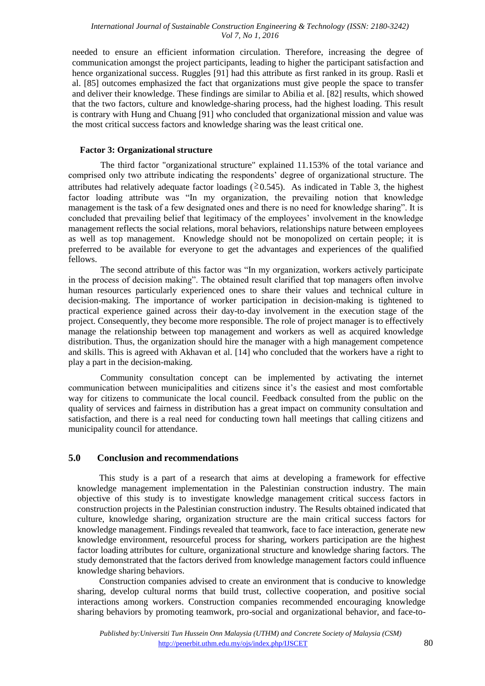needed to ensure an efficient information circulation. Therefore, increasing the degree of communication amongst the project participants, leading to higher the participant satisfaction and hence organizational success. Ruggles [91] had this attribute as first ranked in its group. Rasli et al. [85] outcomes emphasized the fact that organizations must give people the space to transfer and deliver their knowledge. These findings are similar to Abilia et al. [82] results, which showed that the two factors, culture and knowledge-sharing process, had the highest loading. This result is contrary with Hung and Chuang [91] who concluded that organizational mission and value was the most critical success factors and knowledge sharing was the least critical one.

#### **Factor 3: Organizational structure**

The third factor "organizational structure" explained 11.153% of the total variance and comprised only two attribute indicating the respondents' degree of organizational structure. The attributes had relatively adequate factor loadings ( $\geq 0.545$ ). As indicated in Table 3, the highest factor loading attribute was "In my organization, the prevailing notion that knowledge management is the task of a few designated ones and there is no need for knowledge sharing". It is concluded that prevailing belief that legitimacy of the employees' involvement in the knowledge management reflects the social relations, moral behaviors, relationships nature between employees as well as top management. Knowledge should not be monopolized on certain people; it is preferred to be available for everyone to get the advantages and experiences of the qualified fellows.

The second attribute of this factor was "In my organization, workers actively participate in the process of decision making". The obtained result clarified that top managers often involve human resources particularly experienced ones to share their values and technical culture in decision-making. The importance of worker participation in decision-making is tightened to practical experience gained across their day-to-day involvement in the execution stage of the project. Consequently, they become more responsible. The role of project manager is to effectively manage the relationship between top management and workers as well as acquired knowledge distribution. Thus, the organization should hire the manager with a high management competence and skills. This is agreed with Akhavan et al. [14] who concluded that the workers have a right to play a part in the decision-making.

Community consultation concept can be implemented by activating the internet communication between municipalities and citizens since it's the easiest and most comfortable way for citizens to communicate the local council. Feedback consulted from the public on the quality of services and fairness in distribution has a great impact on community consultation and satisfaction, and there is a real need for conducting town hall meetings that calling citizens and municipality council for attendance.

### **5.0 Conclusion and recommendations**

This study is a part of a research that aims at developing a framework for effective knowledge management implementation in the Palestinian construction industry. The main objective of this study is to investigate knowledge management critical success factors in construction projects in the Palestinian construction industry. The Results obtained indicated that culture, knowledge sharing, organization structure are the main critical success factors for knowledge management. Findings revealed that teamwork, face to face interaction, generate new knowledge environment, resourceful process for sharing, workers participation are the highest factor loading attributes for culture, organizational structure and knowledge sharing factors. The study demonstrated that the factors derived from knowledge management factors could influence knowledge sharing behaviors.

Construction companies advised to create an environment that is conducive to knowledge sharing, develop cultural norms that build trust, collective cooperation, and positive social interactions among workers. Construction companies recommended encouraging knowledge sharing behaviors by promoting teamwork, pro-social and organizational behavior, and face-to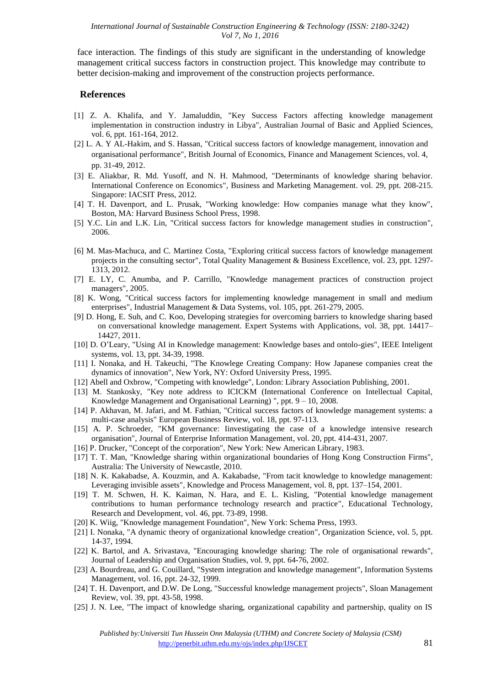face interaction. The findings of this study are significant in the understanding of knowledge management critical success factors in construction project. This knowledge may contribute to better decision-making and improvement of the construction projects performance.

#### **References**

- [1] Z. A. Khalifa, and Y. Jamaluddin, "Key Success Factors affecting knowledge management implementation in construction industry in Libya", Australian Journal of Basic and Applied Sciences, vol. 6, ppt. 161-164, 2012.
- [2] L. A. Y AL-Hakim, and S. Hassan, "Critical success factors of knowledge management, innovation and organisational performance", British Journal of Economics, Finance and Management Sciences, vol. 4, pp. 31-49, 2012.
- [3] E. Aliakbar, R. Md. Yusoff, and N. H. Mahmood, "Determinants of knowledge sharing behavior. International Conference on Economics", Business and Marketing Management. vol. 29, ppt. 208-215. Singapore: IACSIT Press, 2012.
- [4] T. H. Davenport, and L. Prusak, "Working knowledge: How companies manage what they know", Boston, MA: Harvard Business School Press, 1998.
- [5] Y.C. Lin and L.K. Lin, "Critical success factors for knowledge management studies in construction", 2006.
- [6] M. Mas-Machuca, and C. Martinez Costa, "Exploring critical success factors of knowledge management projects in the consulting sector", Total Quality Management & Business Excellence, vol. 23, ppt. 1297- 1313, 2012.
- [7] E. LY, C. Anumba, and P. Carrillo, "Knowledge management practices of construction project managers", 2005.
- [8] K. Wong, "Critical success factors for implementing knowledge management in small and medium enterprises", Industrial Management & Data Systems, vol. 105, ppt. 261-279, 2005.
- [9] D. Hong, E. Suh, and C. Koo, Developing strategies for overcoming barriers to knowledge sharing based on conversational knowledge management. Expert Systems with Applications, vol. 38, ppt. 14417– 14427, 2011.
- [10] D. O'Leary, "Using AI in Knowledge management: Knowledge bases and ontolo-gies", IEEE Inteligent systems, vol. 13, ppt. 34-39, 1998.
- [11] I. Nonaka, and H. Takeuchi, "The Knowlege Creating Company: How Japanese companies creat the dynamics of innovation", New York, NY: Oxford University Press, 1995.
- [12] Abell and Oxbrow, "Competing with knowledge", London: Library Association Publishing, 2001.
- [13] M. Stankosky, "Key note address to ICICKM (International Conference on Intellectual Capital, Knowledge Management and Organisational Learning) ", ppt. 9 – 10, 2008.
- [14] P. Akhavan, M. Jafari, and M. Fathian, "Critical success factors of knowledge management systems: a multi-case analysis" European Business Review, vol. 18, ppt. 97-113.
- [15] A. P. Schroeder, "KM governance: Iinvestigating the case of a knowledge intensive research organisation", Journal of Enterprise Information Management, vol. 20, ppt. 414-431, 2007.
- [16] P. Drucker, "Concept of the corporation", New York: New American Library, 1983.
- [17] T. T. Man, "Knowledge sharing within organizational boundaries of Hong Kong Construction Firms", Australia: The University of Newcastle, 2010.
- [18] N. K. Kakabadse, A. Kouzmin, and A. Kakabadse, "From tacit knowledge to knowledge management: Leveraging invisible assets", Knowledge and Process Management, vol. 8, ppt. 137–154, 2001.
- [19] T. M. Schwen, H. K. Kaiman, N. Hara, and E. L. Kisling, "Potential knowledge management contributions to human performance technology research and practice", Educational Technology, Research and Development, vol. 46, ppt. 73-89, 1998.
- [20] K. Wiig, "Knowledge management Foundation", New York: Schema Press, 1993.
- [21] I. Nonaka, "A dynamic theory of organizational knowledge creation", Organization Science, vol. 5, ppt. 14-37, 1994.
- [22] K. Bartol, and A. Srivastava, "Encouraging knowledge sharing: The role of organisational rewards", Journal of Leadership and Organisation Studies, vol. 9, ppt. 64-76, 2002.
- [23] A. Bourdreau, and G. Couillard, "System integration and knowledge management", Information Systems Management, vol. 16, ppt. 24-32, 1999.
- [24] T. H. Davenport, and D.W. De Long, "Successful knowledge management projects", Sloan Management Review, vol. 39, ppt. 43-58, 1998.
- [25] J. N. Lee, "The impact of knowledge sharing, organizational capability and partnership, quality on IS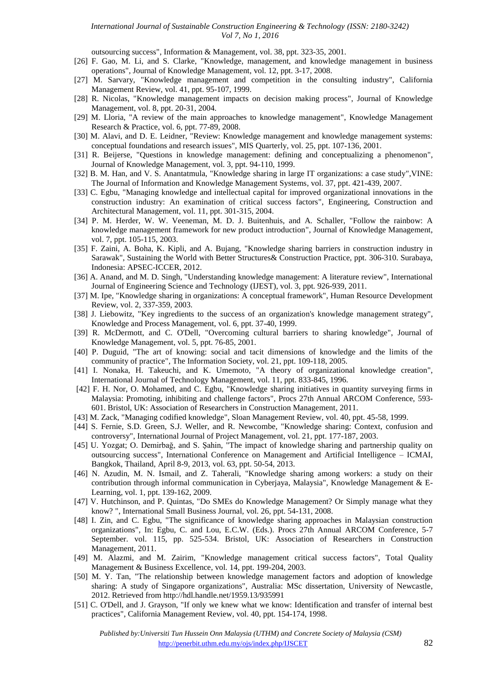outsourcing success", Information & Management, vol. 38, ppt. 323-35, 2001.

- [26] F. Gao, M. Li, and S. Clarke, "Knowledge, management, and knowledge management in business operations", Journal of Knowledge Management, vol. 12, ppt. 3-17, 2008.
- [27] M. Sarvary, "Knowledge management and competition in the consulting industry", California Management Review, vol. 41, ppt. 95-107, 1999.
- [28] R. Nicolas, "Knowledge management impacts on decision making process", Journal of Knowledge Management, vol. 8, ppt. 20-31, 2004.
- [29] M. Lloria, "A review of the main approaches to knowledge management", Knowledge Management Research & Practice, vol. 6, ppt. 77-89, 2008.
- [30] M. Alavi, and D. E. Leidner, "Review: Knowledge management and knowledge management systems: conceptual foundations and research issues", MIS Quarterly, vol. 25, ppt. 107-136, 2001.
- [31] R. Beijerse, "Questions in knowledge management: defining and conceptualizing a phenomenon", Journal of Knowledge Management, vol. 3, ppt. 94-110, 1999.
- [32] B. M. Han, and V. S. Anantatmula, "Knowledge sharing in large IT organizations: a case study",VINE: The Journal of Information and Knowledge Management Systems, vol. 37, ppt. 421-439, 2007.
- [33] C. Egbu, "Managing knowledge and intellectual capital for improved organizational innovations in the construction industry: An examination of critical success factors", Engineering, Construction and Architectural Management, vol. 11, ppt. 301-315, 2004.
- [34] P. M. Herder, W. W. Veeneman, M. D. J. Buitenhuis, and A. Schaller, "Follow the rainbow: A knowledge management framework for new product introduction", Journal of Knowledge Management, vol. 7, ppt. 105-115, 2003.
- [35] F. Zaini, A. Boha, K. Kipli, and A. Bujang, "Knowledge sharing barriers in construction industry in Sarawak", Sustaining the World with Better Structures& Construction Practice, ppt. 306-310. Surabaya, Indonesia: APSEC-ICCER, 2012.
- [36] A. Anand, and M. D. Singh, "Understanding knowledge management: A literature review", International Journal of Engineering Science and Technology (IJEST), vol. 3, ppt. 926-939, 2011.
- [37] M. Ipe, "Knowledge sharing in organizations: A conceptual framework", Human Resource Development Review, vol. 2, 337-359, 2003.
- [38] J. Liebowitz, "Key ingredients to the success of an organization's knowledge management strategy", Knowledge and Process Management, vol. 6, ppt. 37-40, 1999.
- [39] R. McDermott, and C. O'Dell, "Overcoming cultural barriers to sharing knowledge", Journal of Knowledge Management, vol. 5, ppt. 76-85, 2001.
- [40] P. Duguid, "The art of knowing: social and tacit dimensions of knowledge and the limits of the community of practice", The Information Society, vol. 21, ppt. 109-118, 2005.
- [41] I. Nonaka, H. Takeuchi, and K. Umemoto, "A theory of organizational knowledge creation", International Journal of Technology Management, vol. 11, ppt. 833-845, 1996.
- [42] F. H. Nor, O. Mohamed, and C. Egbu, "Knowledge sharing initiatives in quantity surveying firms in Malaysia: Promoting, inhibiting and challenge factors", Procs 27th Annual ARCOM Conference, 593- 601. Bristol, UK: Association of Researchers in Construction Management, 2011.
- [43] M. Zack, "Managing codified knowledge", Sloan Management Review, vol. 40, ppt. 45-58, 1999.
- [44] S. Fernie, S.D. Green, S.J. Weller, and R. Newcombe, "Knowledge sharing: Context, confusion and controversy", International Journal of Project Management, vol. 21, ppt. 177-187, 2003.
- [45] U. Yozgat; O. Demirbağ, and S. Şahin, "The impact of knowledge sharing and partnership quality on outsourcing success", International Conference on Management and Artificial Intelligence – ICMAI, Bangkok, Thailand, April 8-9, 2013, vol. 63, ppt. 50-54, 2013.
- [46] N. Azudin, M. N. Ismail, and Z. Taherali, "Knowledge sharing among workers: a study on their contribution through informal communication in Cyberjaya, Malaysia", Knowledge Management & E-Learning, vol. 1, ppt. 139-162, 2009.
- [47] V. Hutchinson, and P. Quintas, "Do SMEs do Knowledge Management? Or Simply manage what they know? ", International Small Business Journal, vol. 26, ppt. 54-131, 2008.
- [48] I. Zin, and C. Egbu, "The significance of knowledge sharing approaches in Malaysian construction organizations", In: Egbu, C. and Lou, E.C.W. (Eds.). Procs 27th Annual ARCOM Conference, 5-7 September. vol. 115, pp. 525-534. Bristol, UK: Association of Researchers in Construction Management, 2011.
- [49] M. Alazmi, and M. Zairim, "Knowledge management critical success factors", Total Quality Management & Business Excellence, vol. 14, ppt. 199-204, 2003.
- [50] M. Y. Tan, "The relationship between knowledge management factors and adoption of knowledge sharing: A study of Singapore organizations", Australia: MSc dissertation, University of Newcastle, 2012. Retrieved from http://hdl.handle.net/1959.13/935991
- [51] C. O'Dell, and J. Grayson, "If only we knew what we know: Identification and transfer of internal best practices", California Management Review, vol. 40, ppt. 154-174, 1998.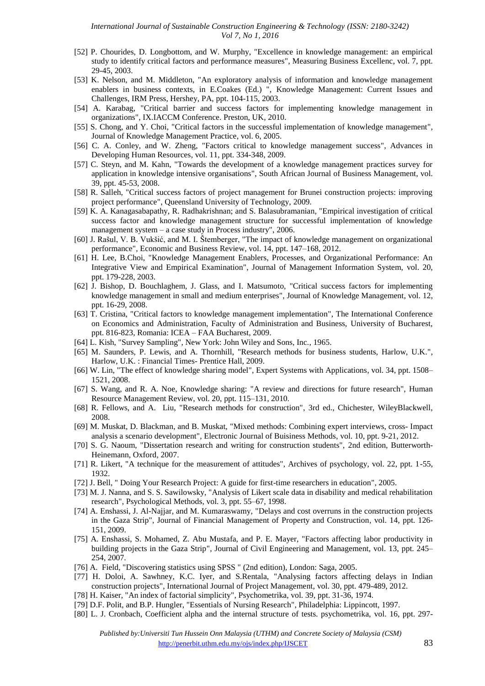- [52] P. Chourides, D. Longbottom, and W. Murphy, "Excellence in knowledge management: an empirical study to identify critical factors and performance measures", Measuring Business Excellenc, vol. 7, ppt. 29-45, 2003.
- [53] K. Nelson, and M. Middleton, "An exploratory analysis of information and knowledge management enablers in business contexts, in E.Coakes (Ed.) ", Knowledge Management: Current Issues and Challenges, IRM Press, Hershey, PA, ppt. 104-115, 2003.
- [54] A. Karabag, "Critical barrier and success factors for implementing knowledge management in organizations", IX.IACCM Conference. Preston, UK, 2010.
- [55] S. Chong, and Y. Choi, "Critical factors in the successful implementation of knowledge management", Journal of Knowledge Management Practice, vol. 6, 2005.
- [56] C. A. Conley, and W. Zheng, "Factors critical to knowledge management success", Advances in Developing Human Resources, vol. 11, ppt. 334-348, 2009.
- [57] C. Steyn, and M. Kahn, "Towards the development of a knowledge management practices survey for application in knowledge intensive organisations", South African Journal of Business Management, vol. 39, ppt. 45-53, 2008.
- [58] R. Salleh, "Critical success factors of project management for Brunei construction projects: improving project performance", Queensland University of Technology, 2009.
- [59] K. A. Kanagasabapathy, R. Radhakrishnan; and S. Balasubramanian, "Empirical investigation of critical success factor and knowledge management structure for successful implementation of knowledge management system – a case study in Process industry", 2006.
- [60] J. Rašul, V. B. Vukšić, and M. I. Štemberger, "The impact of knowledge management on organizational performance", Economic and Business Review, vol. 14, ppt. 147–168, 2012.
- [61] H. Lee, B.Choi, "Knowledge Management Enablers, Processes, and Organizational Performance: An Integrative View and Empirical Examination", Journal of Management Information System, vol. 20, ppt. 179-228, 2003.
- [62] J. Bishop, D. Bouchlaghem, J. Glass, and I. Matsumoto, "Critical success factors for implementing knowledge management in small and medium enterprises", Journal of Knowledge Management, vol. 12, ppt. 16-29, 2008.
- [63] T. Cristina, "Critical factors to knowledge management implementation", The International Conference on Economics and Administration, Faculty of Administration and Business, University of Bucharest, ppt. 816-823, Romania: ICEA – FAA Bucharest, 2009.
- [64] L. Kish, "Survey Sampling", New York: John Wiley and Sons, Inc., 1965.
- [65] M. Saunders, P. Lewis, and A. Thornhill, "Research methods for business students, Harlow, U.K.", Harlow, U.K. : Financial Times- Prentice Hall, 2009.
- [66] W. Lin, "The effect of knowledge sharing model", Expert Systems with Applications, vol. 34, ppt. 1508– 1521, 2008.
- [67] S. Wang, and R. A. Noe, Knowledge sharing: "A review and directions for future research", Human Resource Management Review, vol. 20, ppt. 115–131, 2010.
- [68] R. Fellows, and A. Liu, "Research methods for construction", 3rd ed., Chichester, WileyBlackwell, 2008.
- [69] M. Muskat, D. Blackman, and B. Muskat, "Mixed methods: Combining expert interviews, cross- Impact analysis a scenario development", Electronic Journal of Buisiness Methods, vol. 10, ppt. 9-21, 2012.
- [70] S. G. Naoum, "Dissertation research and writing for construction students", 2nd edition, Butterworth-Heinemann, Oxford, 2007.
- [71] R. Likert, "A technique for the measurement of attitudes", Archives of psychology, vol. 22, ppt. 1-55, 1932.
- [72] J. Bell, " Doing Your Research Project: A guide for first-time researchers in education", 2005.
- [73] M. J. Nanna, and S. S. Sawilowsky, "Analysis of Likert scale data in disability and medical rehabilitation research", Psychological Methods, vol. 3, ppt. 55–67, 1998.
- [74] A. Enshassi, J. Al-Najjar, and M. Kumaraswamy, "Delays and cost overruns in the construction projects in the Gaza Strip", Journal of Financial Management of Property and Construction, vol. 14, ppt. 126- 151, 2009.
- [75] A. Enshassi, S. Mohamed, Z. Abu Mustafa, and P. E. Mayer, "Factors affecting labor productivity in building projects in the Gaza Strip", Journal of Civil Engineering and Management, vol. 13, ppt. 245– 254, 2007.
- [76] A. Field, "Discovering statistics using SPSS " (2nd edition), London: Saga, 2005.
- [77] H. Doloi, A. Sawhney, K.C. Iyer, and S.Rentala, "Analysing factors affecting delays in Indian construction projects", International Journal of Project Management, vol. 30, ppt. 479-489, 2012.
- [78] H. Kaiser, "An index of factorial simplicity", Psychometrika, vol. 39, ppt. 31-36, 1974.
- [79] D.F. Polit, and B.P. Hungler, "Essentials of Nursing Research", Philadelphia: Lippincott, 1997.
- [80] L. J. Cronbach, Coefficient alpha and the internal structure of tests. psychometrika, vol. 16, ppt. 297-